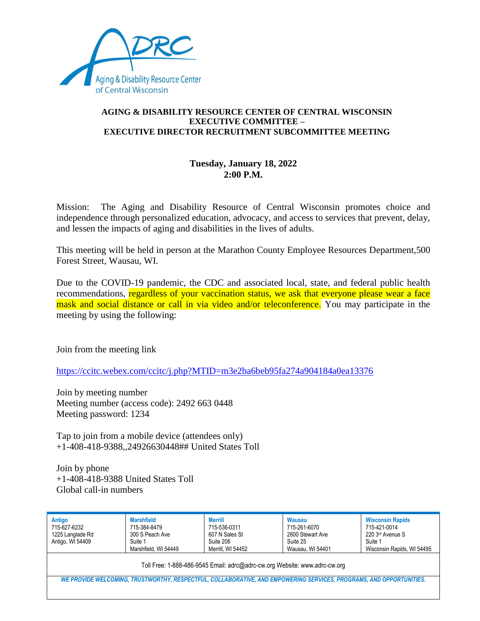

## **AGING & DISABILITY RESOURCE CENTER OF CENTRAL WISCONSIN EXECUTIVE COMMITTEE – EXECUTIVE DIRECTOR RECRUITMENT SUBCOMMITTEE MEETING**

## **Tuesday, January 18, 2022 2:00 P.M.**

Mission: The Aging and Disability Resource of Central Wisconsin promotes choice and independence through personalized education, advocacy, and access to services that prevent, delay, and lessen the impacts of aging and disabilities in the lives of adults.

This meeting will be held in person at the Marathon County Employee Resources Department,500 Forest Street, Wausau, WI.

Due to the COVID-19 pandemic, the CDC and associated local, state, and federal public health recommendations, regardless of your vaccination status, we ask that everyone please wear a face mask and social distance or call in via video and/or teleconference. You may participate in the meeting by using the following:

Join from the meeting link

<https://ccitc.webex.com/ccitc/j.php?MTID=m3e2ba6beb95fa274a904184a0ea13376>

Join by meeting number Meeting number (access code): 2492 663 0448 Meeting password: 1234

Tap to join from a mobile device (attendees only) +1-408-418-9388,,24926630448## United States Toll

Join by phone +1-408-418-9388 United States Toll Global call-in numbers

| Antigo<br>715-627-6232<br>1225 Langlade Rd<br>Antigo, WI 54409                                                      | <b>Marshfield</b><br>715-384-8479<br>300 S Peach Ave<br>Suite 1<br>Marshfield, WI 54449 | <b>Merrill</b><br>715-536-0311<br>607 N Sales St<br>Suite 206<br>Merrill. WI 54452 | Wausau<br>715-261-6070<br>2600 Stewart Ave<br>Suite 25<br>Wausau, WI 54401 | <b>Wisconsin Rapids</b><br>715-421-0014<br>220 3rd Avenue S<br>Suite 1<br>Wisconsin Rapids, WI 54495 |
|---------------------------------------------------------------------------------------------------------------------|-----------------------------------------------------------------------------------------|------------------------------------------------------------------------------------|----------------------------------------------------------------------------|------------------------------------------------------------------------------------------------------|
| Toll Free: 1-888-486-9545 Email: adrc@adrc-cw.org Website: www.adrc-cw.org                                          |                                                                                         |                                                                                    |                                                                            |                                                                                                      |
| WE PROVIDE WELCOMING, TRUSTWORTHY, RESPECTFUL, COLLABORATIVE, AND EMPOWERING SERVICES, PROGRAMS, AND OPPORTUNITIES. |                                                                                         |                                                                                    |                                                                            |                                                                                                      |